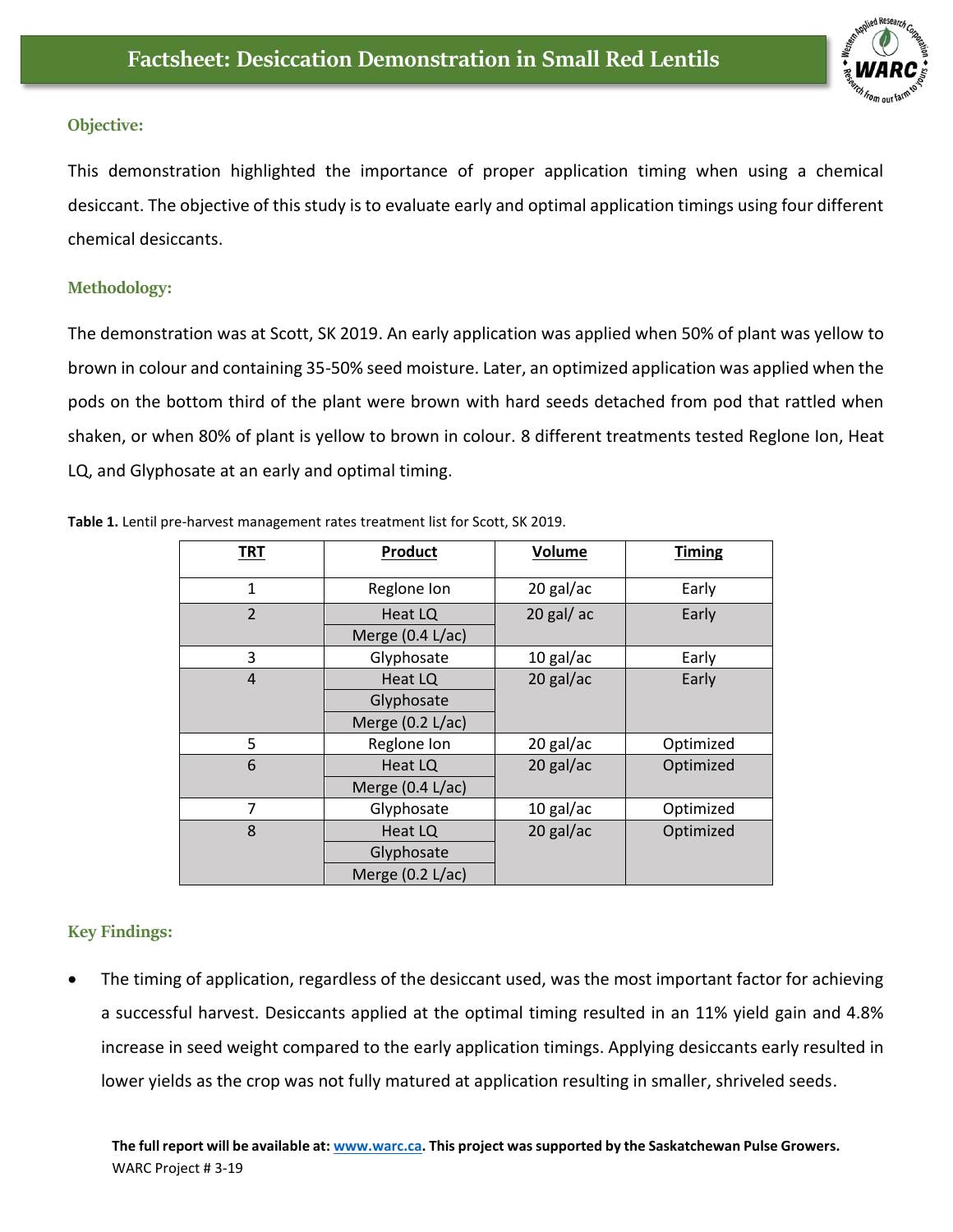

## **Objective:**

This demonstration highlighted the importance of proper application timing when using a chemical desiccant. The objective of this study is to evaluate early and optimal application timings using four different chemical desiccants.

## **Methodology:**

The demonstration was at Scott, SK 2019. An early application was applied when 50% of plant was yellow to brown in colour and containing 35-50% seed moisture. Later, an optimized application was applied when the pods on the bottom third of the plant were brown with hard seeds detached from pod that rattled when shaken, or when 80% of plant is yellow to brown in colour. 8 different treatments tested Reglone Ion, Heat LQ, and Glyphosate at an early and optimal timing.

|  |  | Table 1. Lentil pre-harvest management rates treatment list for Scott, SK 2019. |  |
|--|--|---------------------------------------------------------------------------------|--|
|  |  |                                                                                 |  |

| <b>TRT</b>     | <b>Product</b>     | Volume       | <b>Timing</b> |  |
|----------------|--------------------|--------------|---------------|--|
| $\mathbf{1}$   | Reglone Ion        | 20 gal/ac    | Early         |  |
| $\overline{2}$ | Heat LQ            | $20$ gal/ ac |               |  |
|                | Merge $(0.4 L/ac)$ |              |               |  |
| 3              | Glyphosate         | $10$ gal/ac  | Early         |  |
| $\overline{4}$ | Heat LQ            | $20$ gal/ac  | Early         |  |
|                | Glyphosate         |              |               |  |
|                | Merge (0.2 L/ac)   |              |               |  |
| 5              | Reglone Ion        | 20 gal/ac    | Optimized     |  |
| 6              | Heat LQ            | 20 gal/ac    | Optimized     |  |
|                | Merge (0.4 L/ac)   |              |               |  |
| 7              | Glyphosate         | $10$ gal/ac  | Optimized     |  |
| 8              | Heat LQ            | 20 gal/ac    | Optimized     |  |
|                | Glyphosate         |              |               |  |
|                | Merge $(0.2 L/ac)$ |              |               |  |

## **Key Findings:**

The timing of application, regardless of the desiccant used, was the most important factor for achieving a successful harvest. Desiccants applied at the optimal timing resulted in an 11% yield gain and 4.8% increase in seed weight compared to the early application timings. Applying desiccants early resulted in lower yields as the crop was not fully matured at application resulting in smaller, shriveled seeds.